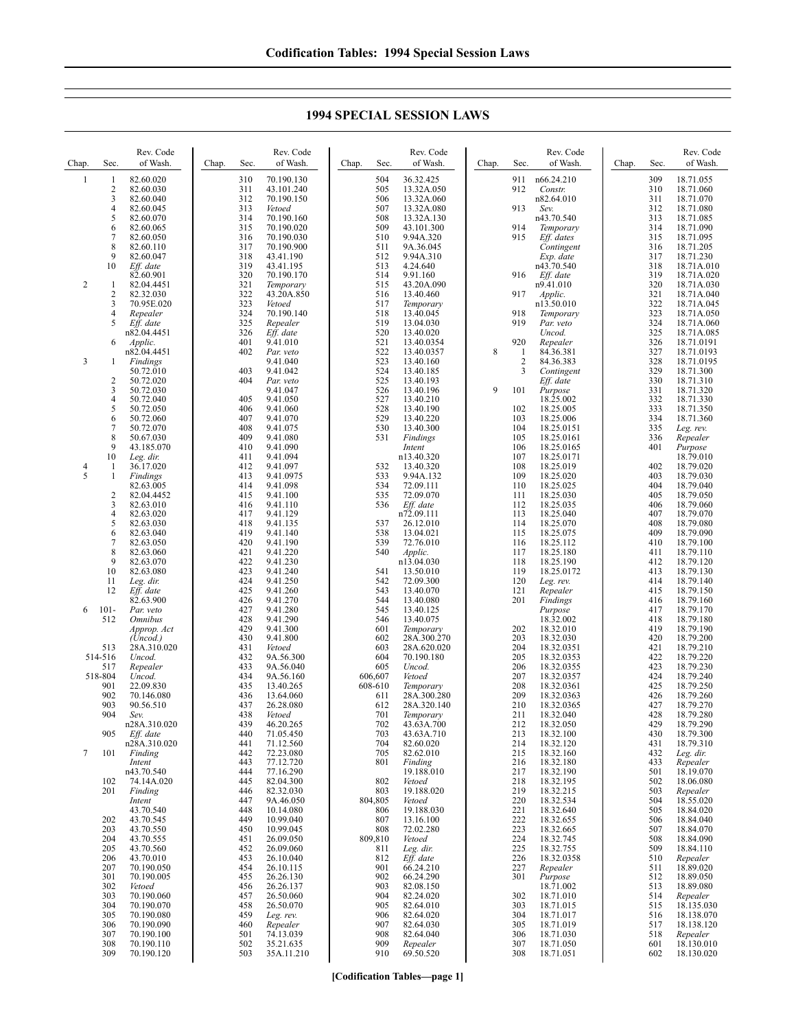| Chap. | Sec.           | Rev. Code<br>of Wash.    | Chap.<br>Sec. | Rev. Code<br>of Wash.    | Chap.<br>Sec.  | Rev. Code<br>of Wash.    | Chap.<br>Sec.            | Rev. Code<br>of Wash.    | Chap. | Sec.       | Rev. Code<br>of Wash.    |
|-------|----------------|--------------------------|---------------|--------------------------|----------------|--------------------------|--------------------------|--------------------------|-------|------------|--------------------------|
| 1     | 1              | 82.60.020                | 310           | 70.190.130               | 504            | 36.32.425                | 911                      | n66.24.210               |       | 309        | 18.71.055                |
|       | 2<br>3         | 82.60.030<br>82.60.040   | 311<br>312    | 43.101.240<br>70.190.150 | 505<br>506     | 13.32A.050<br>13.32A.060 | 912                      | Constr.<br>n82.64.010    |       | 310<br>311 | 18.71.060<br>18.71.070   |
|       | 4              | 82.60.045                | 313           | Vetoed                   | 507            | 13.32A.080               | 913                      | Sev.                     |       | 312        | 18.71.080                |
|       | 5<br>6         | 82.60.070<br>82.60.065   | 314<br>315    | 70.190.160<br>70.190.020 | 508<br>509     | 13.32A.130<br>43.101.300 | 914                      | n43.70.540<br>Temporary  |       | 313<br>314 | 18.71.085<br>18.71.090   |
|       | 7              | 82.60.050                | 316           | 70.190.030               | 510            | 9.94A.320                | 915                      | $Eff.$ dates             |       | 315        | 18.71.095                |
|       | 8              | 82.60.110                | 317           | 70.190.900               | 511            | 9A.36.045                |                          | Contingent               |       | 316        | 18.71.205                |
|       | 9<br>10        | 82.60.047<br>Eff. date   | 318<br>319    | 43.41.190<br>43.41.195   | 512<br>513     | 9.94A.310<br>4.24.640    |                          | Exp. date<br>n43.70.540  |       | 317<br>318 | 18.71.230<br>18.71A.010  |
|       |                | 82.60.901                | 320           | 70.190.170               | 514            | 9.91.160                 | 916                      | Eff. date                |       | 319        | 18.71A.020               |
| 2     | 1<br>2         | 82.04.4451<br>82.32.030  | 321<br>322    | Temporary<br>43.20A.850  | 515<br>516     | 43.20A.090<br>13.40.460  | 917                      | n9.41.010<br>Applic.     |       | 320<br>321 | 18.71A.030<br>18.71A.040 |
|       | 3              | 70.95E.020               | 323           | Vetoed                   | 517            | Temporary                |                          | n13.50.010               |       | 322        | 18.71A.045               |
|       | 4<br>5         | Repealer                 | 324<br>325    | 70.190.140               | 518<br>519     | 13.40.045<br>13.04.030   | 918<br>919               | Temporary<br>Par. veto   |       | 323<br>324 | 18.71A.050               |
|       |                | Eff. date<br>n82.04.4451 | 326           | Repealer<br>Eff. date    | 520            | 13.40.020                |                          | Uncod.                   |       | 325        | 18.71A.060<br>18.71A.085 |
|       | 6              | Applic.                  | 401           | 9.41.010                 | 521            | 13.40.0354               | 920                      | Repealer                 |       | 326        | 18.71.0191               |
| 3     | 1              | n82.04.4451<br>Findings  | 402           | Par. veto<br>9.41.040    | 522<br>523     | 13.40.0357<br>13.40.160  | 8<br>1<br>$\overline{c}$ | 84.36.381<br>84.36.383   |       | 327<br>328 | 18.71.0193<br>18.71.0195 |
|       |                | 50.72.010                | 403           | 9.41.042                 | 524            | 13.40.185                | 3                        | Contingent               |       | 329        | 18.71.300                |
|       | 2<br>3         | 50.72.020<br>50.72.030   | 404           | Par. veto<br>9.41.047    | 525<br>526     | 13.40.193<br>13.40.196   | 9<br>101                 | Eff. date<br>Purpose     |       | 330<br>331 | 18.71.310<br>18.71.320   |
|       | 4              | 50.72.040                | 405           | 9.41.050                 | 527            | 13.40.210                |                          | 18.25.002                |       | 332        | 18.71.330                |
|       | 5<br>6         | 50.72.050<br>50.72.060   | 406<br>407    | 9.41.060<br>9.41.070     | 528<br>529     | 13.40.190<br>13.40.220   | 102<br>103               | 18.25.005<br>18.25.006   |       | 333<br>334 | 18.71.350<br>18.71.360   |
|       | 7              | 50.72.070                | 408           | 9.41.075                 | 530            | 13.40.300                | 104                      | 18.25.0151               |       | 335        | Leg. rev.                |
|       | 8<br>9         | 50.67.030                | 409           | 9.41.080                 | 531            | Findings                 | 105                      | 18.25.0161               |       | 336        | Repealer                 |
|       | 10             | 43.185.070<br>Leg. dir.  | 410<br>411    | 9.41.090<br>9.41.094     |                | Intent<br>n13.40.320     | 106<br>107               | 18.25.0165<br>18.25.0171 |       | 401        | Purpose<br>18.79.010     |
| 4     | 1              | 36.17.020                | 412           | 9.41.097                 | 532            | 13.40.320                | 108                      | 18.25.019                |       | 402        | 18.79.020                |
| 5     | 1              | Findings<br>82.63.005    | 413<br>414    | 9.41.0975<br>9.41.098    | 533<br>534     | 9.94A.132<br>72.09.111   | 109<br>110               | 18.25.020<br>18.25.025   |       | 403<br>404 | 18.79.030<br>18.79.040   |
|       | $\overline{2}$ | 82.04.4452               | 415           | 9.41.100                 | 535            | 72.09.070                | 111                      | 18.25.030                |       | 405        | 18.79.050                |
|       | 3<br>4         | 82.63.010<br>82.63.020   | 416<br>417    | 9.41.110<br>9.41.129     | 536            | Eff. date<br>n72.09.111  | 112<br>113               | 18.25.035<br>18.25.040   |       | 406<br>407 | 18.79.060<br>18.79.070   |
|       | 5              | 82.63.030                | 418           | 9.41.135                 | 537            | 26.12.010                | 114                      | 18.25.070                |       | 408        | 18.79.080                |
|       | 6<br>7         | 82.63.040<br>82.63.050   | 419<br>420    | 9.41.140<br>9.41.190     | 538<br>539     | 13.04.021<br>72.76.010   | 115<br>116               | 18.25.075<br>18.25.112   |       | 409<br>410 | 18.79.090<br>18.79.100   |
|       | 8              | 82.63.060                | 421           | 9.41.220                 | 540            | Applic.                  | 117                      | 18.25.180                |       | 411        | 18.79.110                |
|       | 9<br>10        | 82.63.070<br>82.63.080   | 422<br>423    | 9.41.230<br>9.41.240     | 541            | n13.04.030<br>13.50.010  | 118<br>119               | 18.25.190<br>18.25.0172  |       | 412<br>413 | 18.79.120<br>18.79.130   |
|       | 11             | Leg. dir.                | 424           | 9.41.250                 | 542            | 72.09.300                | 120                      | Leg. rev.                |       | 414        | 18.79.140                |
|       | 12             | Eff. date<br>82.63.900   | 425<br>426    | 9.41.260<br>9.41.270     | 543<br>544     | 13.40.070<br>13.40.080   | 121<br>201               | Repealer                 |       | 415<br>416 | 18.79.150                |
| 6     | $101 -$        | Par. veto                | 427           | 9.41.280                 | 545            | 13.40.125                |                          | Findings<br>Purpose      |       | 417        | 18.79.160<br>18.79.170   |
|       | 512            | <i><b>Omnibus</b></i>    | 428           | 9.41.290                 | 546            | 13.40.075                |                          | 18.32.002                |       | 418        | 18.79.180                |
|       |                | Approp. Act<br>(Uncod.)  | 429<br>430    | 9.41.300<br>9.41.800     | 601<br>602     | Temporary<br>28A.300.270 | 202<br>203               | 18.32.010<br>18.32.030   |       | 419<br>420 | 18.79.190<br>18.79.200   |
|       | 513            | 28A.310.020              | 431           | Vetoed                   | 603            | 28A.620.020              | 204                      | 18.32.0351               |       | 421        | 18.79.210                |
|       | 514-516<br>517 | Uncod.<br>Repealer       | 432<br>433    | 9A.56.300<br>9A.56.040   | 604<br>605     | 70.190.180<br>Uncod.     | 205<br>206               | 18.32.0353<br>18.32.0355 |       | 422<br>423 | 18.79.220<br>18.79.230   |
|       | 518-804        | Uncod.                   | 434           | 9A.56.160                | 606,607        | Vetoed                   | 207                      | 18.32.0357               |       | 424        | 18.79.240                |
|       | 901<br>902     | 22.09.830<br>70.146.080  | 435<br>436    | 13.40.265<br>13.64.060   | 608-610<br>611 | Temporary<br>28A.300.280 | 208<br>209               | 18.32.0361<br>18.32.0363 |       | 425<br>426 | 18.79.250<br>18.79.260   |
|       | 903            | 90.56.510                | 437           | 26.28.080                | 612            | 28A.320.140              | 210                      | 18.32.0365               |       | 427        | 18.79.270                |
|       | 904            | Sev.<br>n28A.310.020     | 438<br>439    | Vetoed<br>46.20.265      | 701<br>702     | Temporary<br>43.63A.700  | 211<br>212               | 18.32.040<br>18.32.050   |       | 428<br>429 | 18.79.280<br>18.79.290   |
|       | 905            | Eff. date                | 440           | 71.05.450                | 703            | 43.63A.710               | 213                      | 18.32.100                |       | 430        | 18.79.300                |
| 7     | 101            | n28A.310.020             | 441<br>442    | 71.12.560<br>72.23.080   | 704<br>705     | 82.60.020<br>82.62.010   | 214<br>215               | 18.32.120<br>18.32.160   |       | 431<br>432 | 18.79.310                |
|       |                | Finding<br>Intent        | 443           | 77.12.720                | 801            | Finding                  | 216                      | 18.32.180                |       | 433        | Leg. dir.<br>Repealer    |
|       |                | n43.70.540               | 444           | 77.16.290                |                | 19.188.010               | 217                      | 18.32.190                |       | 501        | 18.19.070                |
|       | 102<br>201     | 74.14A.020<br>Finding    | 445<br>446    | 82.04.300<br>82.32.030   | 802<br>803     | Vetoed<br>19.188.020     | 218<br>219               | 18.32.195<br>18.32.215   |       | 502<br>503 | 18.06.080<br>Repealer    |
|       |                | Intent                   | 447           | 9A.46.050                | 804,805        | Vetoed                   | 220                      | 18.32.534                |       | 504        | 18.55.020                |
|       | 202            | 43.70.540<br>43.70.545   | 448<br>449    | 10.14.080<br>10.99.040   | 806<br>807     | 19.188.030<br>13.16.100  | 221<br>222               | 18.32.640<br>18.32.655   |       | 505<br>506 | 18.84.020<br>18.84.040   |
|       | 203            | 43.70.550                | 450           | 10.99.045                | 808            | 72.02.280                | 223                      | 18.32.665                |       | 507        | 18.84.070                |
|       | 204<br>205     | 43.70.555<br>43.70.560   | 451<br>452    | 26.09.050<br>26.09.060   | 809,810<br>811 | Vetoed<br>Leg. dir.      | 224<br>225               | 18.32.745<br>18.32.755   |       | 508<br>509 | 18.84.090<br>18.84.110   |
|       | 206            | 43.70.010                | 453           | 26.10.040                | 812            | Eff. date                | 226                      | 18.32.0358               |       | 510        | Repealer                 |
|       | 207<br>301     | 70.190.050<br>70.190.005 | 454<br>455    | 26.10.115<br>26.26.130   | 901<br>902     | 66.24.210<br>66.24.290   | 227<br>301               | Repealer<br>Purpose      |       | 511<br>512 | 18.89.020<br>18.89.050   |
|       | 302            | Vetoed                   | 456           | 26.26.137                | 903            | 82.08.150                |                          | 18.71.002                |       | 513        | 18.89.080                |
|       | 303<br>304     | 70.190.060<br>70.190.070 | 457<br>458    | 26.50.060<br>26.50.070   | 904<br>905     | 82.24.020<br>82.64.010   | 302<br>303               | 18.71.010<br>18.71.015   |       | 514<br>515 | Repealer<br>18.135.030   |
|       | 305            | 70.190.080               | 459           | Leg. rev.                | 906            | 82.64.020                | 304                      | 18.71.017                |       | 516        | 18.138.070               |
|       | 306<br>307     | 70.190.090               | 460           | Repealer                 | 907<br>908     | 82.64.030<br>82.64.040   | 305<br>306               | 18.71.019                |       | 517<br>518 | 18.138.120               |
|       | 308            | 70.190.100<br>70.190.110 | 501<br>502    | 74.13.039<br>35.21.635   | 909            | Repealer                 | 307                      | 18.71.030<br>18.71.050   |       | 601        | Repealer<br>18.130.010   |
|       | 309            | 70.190.120               | 503           | 35A.11.210               | 910            | 69.50.520                | 308                      | 18.71.051                |       | 602        | 18.130.020               |

## **1994 SPECIAL SESSION LAWS**

**[Codification Tables—page 1]**